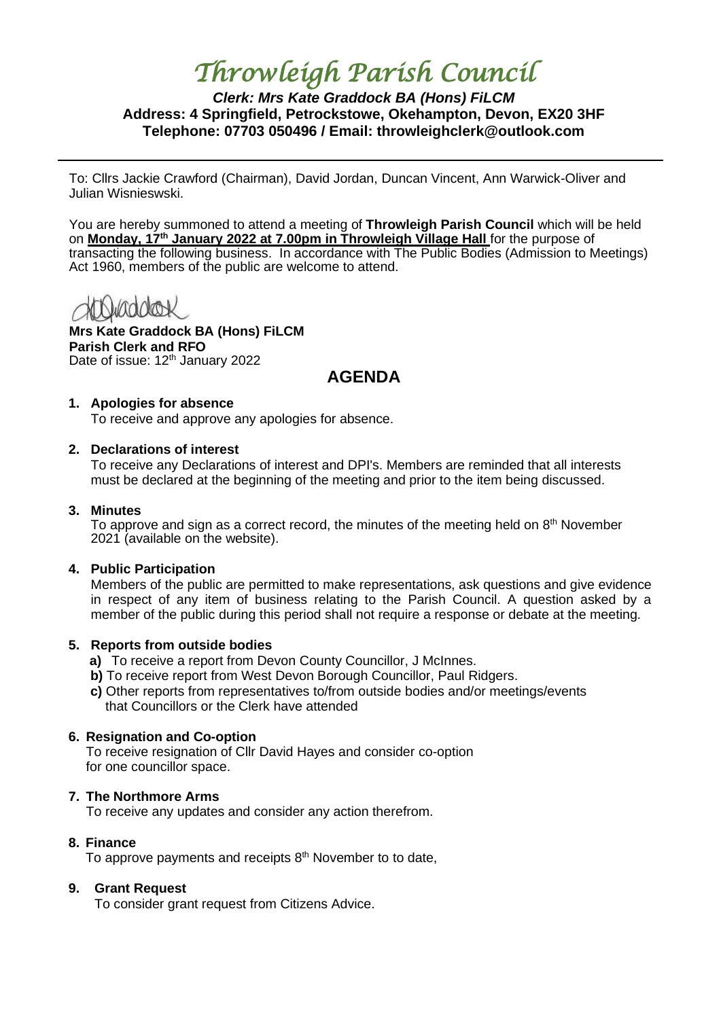# *Throwleigh Parish Council*

# *Clerk: Mrs Kate Graddock BA (Hons) FiLCM* **Address: 4 Springfield, Petrockstowe, Okehampton, Devon, EX20 3HF Telephone: 07703 050496 / Email: throwleighclerk@outlook.com**

To: Cllrs Jackie Crawford (Chairman), David Jordan, Duncan Vincent, Ann Warwick-Oliver and Julian Wisnieswski.

You are hereby summoned to attend a meeting of **Throwleigh Parish Council** which will be held on **Monday, 17th January 2022 at 7.00pm in Throwleigh Village Hall** for the purpose of transacting the following business. In accordance with The Public Bodies (Admission to Meetings) Act 1960, members of the public are welcome to attend.

**Mrs Kate Graddock BA (Hons) FiLCM Parish Clerk and RFO** Date of issue: 12<sup>th</sup> January 2022

# **AGENDA**

#### **1. Apologies for absence**

To receive and approve any apologies for absence.

#### **2. Declarations of interest**

To receive any Declarations of interest and DPI's. Members are reminded that all interests must be declared at the beginning of the meeting and prior to the item being discussed.

#### **3. Minutes**

To approve and sign as a correct record, the minutes of the meeting held on  $8<sup>th</sup>$  November 2021 (available on the website).

#### **4. Public Participation**

Members of the public are permitted to make representations, ask questions and give evidence in respect of any item of business relating to the Parish Council. A question asked by a member of the public during this period shall not require a response or debate at the meeting.

#### **5. Reports from outside bodies**

- **a)** To receive a report from Devon County Councillor, J McInnes.
- **b)** To receive report from West Devon Borough Councillor, Paul Ridgers.
- **c)** Other reports from representatives to/from outside bodies and/or meetings/events that Councillors or the Clerk have attended

# **6. Resignation and Co-option**

To receive resignation of Cllr David Hayes and consider co-option for one councillor space.

# **7. The Northmore Arms**

To receive any updates and consider any action therefrom.

# **8. Finance**

To approve payments and receipts 8<sup>th</sup> November to to date,

# **9. Grant Request**

To consider grant request from Citizens Advice.